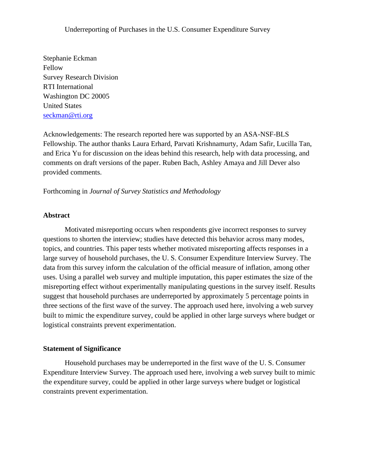Stephanie Eckman Fellow Survey Research Division RTI International Washington DC 20005 United States [seckman@rti.org](mailto:seckman@rti.org)

Acknowledgements: The research reported here was supported by an ASA-NSF-BLS Fellowship. The author thanks Laura Erhard, Parvati Krishnamurty, Adam Safir, Lucilla Tan, and Erica Yu for discussion on the ideas behind this research, help with data processing, and comments on draft versions of the paper. Ruben Bach, Ashley Amaya and Jill Dever also provided comments.

# Forthcoming in *Journal of Survey Statistics and Methodology*

### **Abstract**

Motivated misreporting occurs when respondents give incorrect responses to survey questions to shorten the interview; studies have detected this behavior across many modes, topics, and countries. This paper tests whether motivated misreporting affects responses in a large survey of household purchases, the U. S. Consumer Expenditure Interview Survey. The data from this survey inform the calculation of the official measure of inflation, among other uses. Using a parallel web survey and multiple imputation, this paper estimates the size of the misreporting effect without experimentally manipulating questions in the survey itself. Results suggest that household purchases are underreported by approximately 5 percentage points in three sections of the first wave of the survey. The approach used here, involving a web survey built to mimic the expenditure survey, could be applied in other large surveys where budget or logistical constraints prevent experimentation.

# **Statement of Significance**

Household purchases may be underreported in the first wave of the U. S. Consumer Expenditure Interview Survey. The approach used here, involving a web survey built to mimic the expenditure survey, could be applied in other large surveys where budget or logistical constraints prevent experimentation.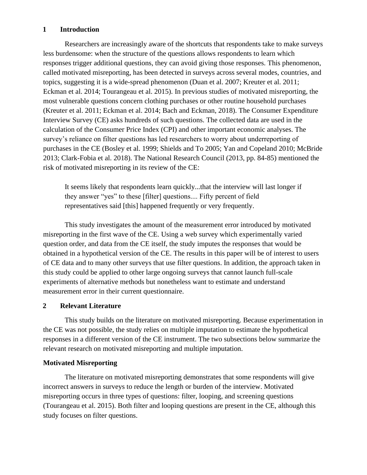# **1 Introduction**

Researchers are increasingly aware of the shortcuts that respondents take to make surveys less burdensome: when the structure of the questions allows respondents to learn which responses trigger additional questions, they can avoid giving those responses. This phenomenon, called motivated misreporting, has been detected in surveys across several modes, countries, and topics, suggesting it is a wide-spread phenomenon (Duan et al. 2007; Kreuter et al. 2011; Eckman et al. 2014; Tourangeau et al. 2015). In previous studies of motivated misreporting, the most vulnerable questions concern clothing purchases or other routine household purchases (Kreuter et al. 2011; Eckman et al. 2014; Bach and Eckman, 2018). The Consumer Expenditure Interview Survey (CE) asks hundreds of such questions. The collected data are used in the calculation of the Consumer Price Index (CPI) and other important economic analyses. The survey's reliance on filter questions has led researchers to worry about underreporting of purchases in the CE (Bosley et al. 1999; Shields and To 2005; Yan and Copeland 2010; McBride 2013; Clark-Fobia et al. 2018). The National Research Council (2013, pp. 84-85) mentioned the risk of motivated misreporting in its review of the CE:

It seems likely that respondents learn quickly...that the interview will last longer if they answer "yes" to these [filter] questions.... Fifty percent of field representatives said [this] happened frequently or very frequently.

This study investigates the amount of the measurement error introduced by motivated misreporting in the first wave of the CE. Using a web survey which experimentally varied question order, and data from the CE itself, the study imputes the responses that would be obtained in a hypothetical version of the CE. The results in this paper will be of interest to users of CE data and to many other surveys that use filter questions. In addition, the approach taken in this study could be applied to other large ongoing surveys that cannot launch full-scale experiments of alternative methods but nonetheless want to estimate and understand measurement error in their current questionnaire.

# **2 Relevant Literature**

This study builds on the literature on motivated misreporting. Because experimentation in the CE was not possible, the study relies on multiple imputation to estimate the hypothetical responses in a different version of the CE instrument. The two subsections below summarize the relevant research on motivated misreporting and multiple imputation.

# **Motivated Misreporting**

The literature on motivated misreporting demonstrates that some respondents will give incorrect answers in surveys to reduce the length or burden of the interview. Motivated misreporting occurs in three types of questions: filter, looping, and screening questions (Tourangeau et al. 2015). Both filter and looping questions are present in the CE, although this study focuses on filter questions.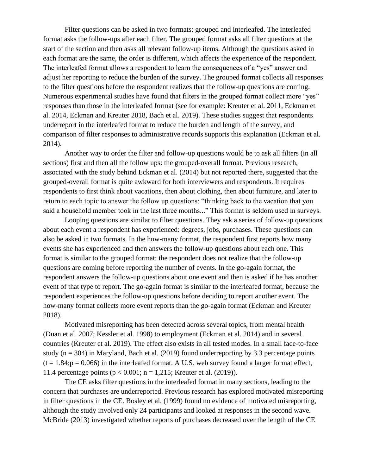Filter questions can be asked in two formats: grouped and interleafed. The interleafed format asks the follow-ups after each filter. The grouped format asks all filter questions at the start of the section and then asks all relevant follow-up items. Although the questions asked in each format are the same, the order is different, which affects the experience of the respondent. The interleafed format allows a respondent to learn the consequences of a "yes" answer and adjust her reporting to reduce the burden of the survey. The grouped format collects all responses to the filter questions before the respondent realizes that the follow-up questions are coming. Numerous experimental studies have found that filters in the grouped format collect more "yes" responses than those in the interleafed format (see for example: Kreuter et al. 2011, Eckman et al. 2014, Eckman and Kreuter 2018, Bach et al. 2019). These studies suggest that respondents underreport in the interleafed format to reduce the burden and length of the survey, and comparison of filter responses to administrative records supports this explanation (Eckman et al. 2014).

Another way to order the filter and follow-up questions would be to ask all filters (in all sections) first and then all the follow ups: the grouped-overall format. Previous research, associated with the study behind Eckman et al. (2014) but not reported there, suggested that the grouped-overall format is quite awkward for both interviewers and respondents. It requires respondents to first think about vacations, then about clothing, then about furniture, and later to return to each topic to answer the follow up questions: "thinking back to the vacation that you said a household member took in the last three months..." This format is seldom used in surveys.

Looping questions are similar to filter questions. They ask a series of follow-up questions about each event a respondent has experienced: degrees, jobs, purchases. These questions can also be asked in two formats. In the how-many format, the respondent first reports how many events she has experienced and then answers the follow-up questions about each one. This format is similar to the grouped format: the respondent does not realize that the follow-up questions are coming before reporting the number of events. In the go-again format, the respondent answers the follow-up questions about one event and then is asked if he has another event of that type to report. The go-again format is similar to the interleafed format, because the respondent experiences the follow-up questions before deciding to report another event. The how-many format collects more event reports than the go-again format (Eckman and Kreuter 2018).

Motivated misreporting has been detected across several topics, from mental health (Duan et al. 2007; Kessler et al. 1998) to employment (Eckman et al. 2014) and in several countries (Kreuter et al. 2019). The effect also exists in all tested modes. In a small face-to-face study ( $n = 304$ ) in Maryland, Bach et al. (2019) found underreporting by 3.3 percentage points  $(t = 1.84; p = 0.066)$  in the interleafed format. A U.S. web survey found a larger format effect, 11.4 percentage points ( $p < 0.001$ ; n = 1,215; Kreuter et al. (2019)).

The CE asks filter questions in the interleafed format in many sections, leading to the concern that purchases are underreported. Previous research has explored motivated misreporting in filter questions in the CE. Bosley et al. (1999) found no evidence of motivated misreporting, although the study involved only 24 participants and looked at responses in the second wave. McBride (2013) investigated whether reports of purchases decreased over the length of the CE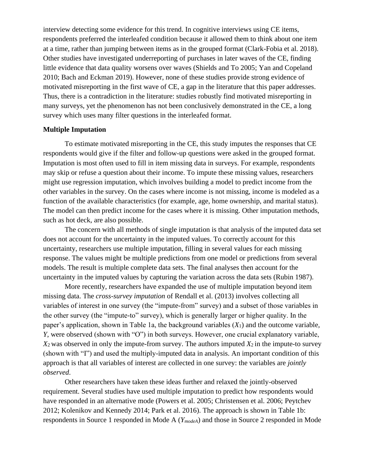interview detecting some evidence for this trend. In cognitive interviews using CE items, respondents preferred the interleafed condition because it allowed them to think about one item at a time, rather than jumping between items as in the grouped format (Clark-Fobia et al. 2018). Other studies have investigated underreporting of purchases in later waves of the CE, finding little evidence that data quality worsens over waves (Shields and To 2005; Yan and Copeland 2010; Bach and Eckman 2019). However, none of these studies provide strong evidence of motivated misreporting in the first wave of CE, a gap in the literature that this paper addresses. Thus, there is a contradiction in the literature: studies robustly find motivated misreporting in many surveys, yet the phenomenon has not been conclusively demonstrated in the CE, a long survey which uses many filter questions in the interleafed format.

### **Multiple Imputation**

To estimate motivated misreporting in the CE, this study imputes the responses that CE respondents would give if the filter and follow-up questions were asked in the grouped format. Imputation is most often used to fill in item missing data in surveys. For example, respondents may skip or refuse a question about their income. To impute these missing values, researchers might use regression imputation, which involves building a model to predict income from the other variables in the survey. On the cases where income is not missing, income is modeled as a function of the available characteristics (for example, age, home ownership, and marital status). The model can then predict income for the cases where it is missing. Other imputation methods, such as hot deck, are also possible.

The concern with all methods of single imputation is that analysis of the imputed data set does not account for the uncertainty in the imputed values. To correctly account for this uncertainty, researchers use multiple imputation, filling in several values for each missing response. The values might be multiple predictions from one model or predictions from several models. The result is multiple complete data sets. The final analyses then account for the uncertainty in the imputed values by capturing the variation across the data sets (Rubin 1987).

More recently, researchers have expanded the use of multiple imputation beyond item missing data. The *cross-survey imputation* of Rendall et al. (2013) involves collecting all variables of interest in one survey (the "impute-from" survey) and a subset of those variables in the other survey (the "impute-to" survey), which is generally larger or higher quality. In the paper's application, shown in Table 1a, the background variables (*X*1) and the outcome variable, *Y*, were observed (shown with "O") in both surveys. However, one crucial explanatory variable,  $X_2$  was observed in only the impute-from survey. The authors imputed  $X_2$  in the impute-to survey (shown with "I") and used the multiply-imputed data in analysis. An important condition of this approach is that all variables of interest are collected in one survey: the variables are *jointly observed*.

Other researchers have taken these ideas further and relaxed the jointly-observed requirement. Several studies have used multiple imputation to predict how respondents would have responded in an alternative mode (Powers et al. 2005; Christensen et al. 2006; Peytchev 2012; Kolenikov and Kennedy 2014; Park et al. 2016). The approach is shown in Table 1b: respondents in Source 1 responded in Mode A (*YmodeA*) and those in Source 2 responded in Mode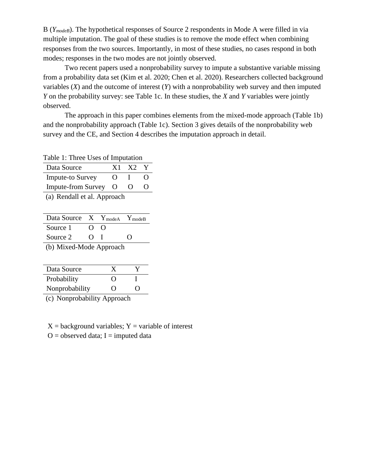B (*YmodeB*). The hypothetical responses of Source 2 respondents in Mode A were filled in via multiple imputation. The goal of these studies is to remove the mode effect when combining responses from the two sources. Importantly, in most of these studies, no cases respond in both modes; responses in the two modes are not jointly observed.

Two recent papers used a nonprobability survey to impute a substantive variable missing from a probability data set (Kim et al. 2020; Chen et al. 2020). Researchers collected background variables (*X*) and the outcome of interest (*Y*) with a nonprobability web survey and then imputed *Y* on the probability survey: see Table 1c. In these studies, the *X* and *Y* variables were jointly observed.

The approach in this paper combines elements from the mixed-mode approach (Table 1b) and the nonprobability approach (Table 1c). Section 3 gives details of the nonprobability web survey and the CE, and Section 4 describes the imputation approach in detail.

Table 1: Three Uses of Imputation

| Data Source               | X1        | X2 |  |
|---------------------------|-----------|----|--|
| <b>Impute-to Survey</b>   | 0         |    |  |
| <b>Impute-from Survey</b> | $\lambda$ |    |  |
|                           |           |    |  |

(a) Rendall et al. Approach

| Data Source X Y <sub>modeA</sub> Y <sub>modeB</sub>                     |                   |      |   |
|-------------------------------------------------------------------------|-------------------|------|---|
| Source 1                                                                | $\Omega$          | - () |   |
| Source 2                                                                | $\mathbf{\Omega}$ |      | 0 |
| $\overline{a}$ and $\overline{a}$ and $\overline{a}$ and $\overline{a}$ |                   |      |   |

(b) Mixed-Mode Approach

| Data Source    |                   |                   |
|----------------|-------------------|-------------------|
| Probability    | 0                 |                   |
| Nonprobability | $\mathbf{\Omega}$ | $\mathbf{\Omega}$ |

(c) Nonprobability Approach

 $X =$  background variables;  $Y =$  variable of interest

 $O =$  observed data; I = imputed data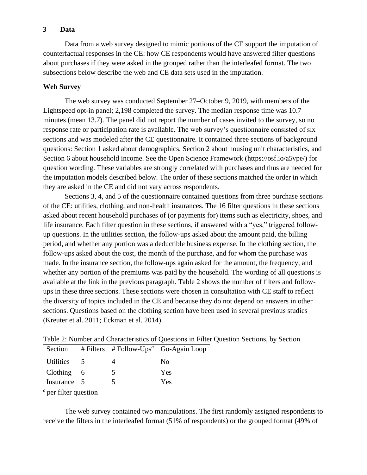# **3 Data**

Data from a web survey designed to mimic portions of the CE support the imputation of counterfactual responses in the CE: how CE respondents would have answered filter questions about purchases if they were asked in the grouped rather than the interleafed format. The two subsections below describe the web and CE data sets used in the imputation.

# **Web Survey**

The web survey was conducted September 27–October 9, 2019, with members of the Lightspeed opt-in panel; 2,198 completed the survey. The median response time was 10.7 minutes (mean 13.7). The panel did not report the number of cases invited to the survey, so no response rate or participation rate is available. The web survey's questionnaire consisted of six sections and was modeled after the CE questionnaire. It contained three sections of background questions: Section 1 asked about demographics, Section 2 about housing unit characteristics, and Section 6 about household income. See the Open Science Framework [\(https://osf.io/a5vpe/\)](https://osf.io/a5vpe/) for question wording. These variables are strongly correlated with purchases and thus are needed for the imputation models described below. The order of these sections matched the order in which they are asked in the CE and did not vary across respondents.

Sections 3, 4, and 5 of the questionnaire contained questions from three purchase sections of the CE: utilities, clothing, and non-health insurances. The 16 filter questions in these sections asked about recent household purchases of (or payments for) items such as electricity, shoes, and life insurance. Each filter question in these sections, if answered with a "yes," triggered followup questions. In the utilities section, the follow-ups asked about the amount paid, the billing period, and whether any portion was a deductible business expense. In the clothing section, the follow-ups asked about the cost, the month of the purchase, and for whom the purchase was made. In the insurance section, the follow-ups again asked for the amount, the frequency, and whether any portion of the premiums was paid by the household. The wording of all questions is available at the link in the previous paragraph. Table 2 shows the number of filters and followups in these three sections. These sections were chosen in consultation with CE staff to reflect the diversity of topics included in the CE and because they do not depend on answers in other sections. Questions based on the clothing section have been used in several previous studies (Kreuter et al. 2011; Eckman et al. 2014).

| Section          |                         |   | # Filters # Follow-Ups <sup>a</sup> Go-Again Loop |
|------------------|-------------------------|---|---------------------------------------------------|
| <b>Utilities</b> | $\overline{\mathbf{z}}$ |   | N <sub>0</sub>                                    |
| $Clothing \t6$   |                         | 5 | Yes                                               |
| Insurance 5      |                         |   | Yes                                               |

Table 2: Number and Characteristics of Questions in Filter Question Sections, by Section

 $a$  per filter question

The web survey contained two manipulations. The first randomly assigned respondents to receive the filters in the interleafed format (51% of respondents) or the grouped format (49% of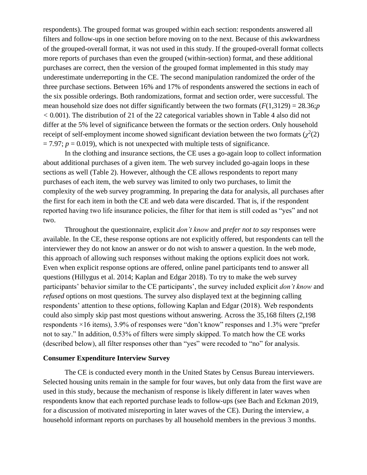respondents). The grouped format was grouped within each section: respondents answered all filters and follow-ups in one section before moving on to the next. Because of this awkwardness of the grouped-overall format, it was not used in this study. If the grouped-overall format collects more reports of purchases than even the grouped (within-section) format, and these additional purchases are correct, then the version of the grouped format implemented in this study may underestimate underreporting in the CE. The second manipulation randomized the order of the three purchase sections. Between 16% and 17% of respondents answered the sections in each of the six possible orderings. Both randomizations, format and section order, were successful. The mean household size does not differ significantly between the two formats  $(F(1,3129) = 28.36; p$ *<* 0*.*001). The distribution of 21 of the 22 categorical variables shown in Table 4 also did not differ at the 5% level of significance between the formats or the section orders. Only household receipt of self-employment income showed significant deviation between the two formats  $(\chi^2(2))$  $= 7.97$ ;  $p = 0.019$ ), which is not unexpected with multiple tests of significance.

In the clothing and insurance sections, the CE uses a go-again loop to collect information about additional purchases of a given item. The web survey included go-again loops in these sections as well (Table 2). However, although the CE allows respondents to report many purchases of each item, the web survey was limited to only two purchases, to limit the complexity of the web survey programming. In preparing the data for analysis, all purchases after the first for each item in both the CE and web data were discarded. That is, if the respondent reported having two life insurance policies, the filter for that item is still coded as "yes" and not two.

Throughout the questionnaire, explicit *don't know* and *prefer not to say* responses were available. In the CE, these response options are not explicitly offered, but respondents can tell the interviewer they do not know an answer or do not wish to answer a question. In the web mode, this approach of allowing such responses without making the options explicit does not work. Even when explicit response options are offered, online panel participants tend to answer all questions (Hillygus et al. 2014; Kaplan and Edgar 2018). To try to make the web survey participants' behavior similar to the CE participants', the survey included explicit *don't know* and *refused* options on most questions. The survey also displayed text at the beginning calling respondents' attention to these options, following Kaplan and Edgar (2018). Web respondents could also simply skip past most questions without answering. Across the 35,168 filters (2,198 respondents ×16 items), 3.9% of responses were "don't know" responses and 1.3% were "prefer not to say." In addition, 0.53% of filters were simply skipped. To match how the CE works (described below), all filter responses other than "yes" were recoded to "no" for analysis.

### **Consumer Expenditure Interview Survey**

The CE is conducted every month in the United States by Census Bureau interviewers. Selected housing units remain in the sample for four waves, but only data from the first wave are used in this study, because the mechanism of response is likely different in later waves when respondents know that each reported purchase leads to follow-ups (see Bach and Eckman 2019, for a discussion of motivated misreporting in later waves of the CE). During the interview, a household informant reports on purchases by all household members in the previous 3 months.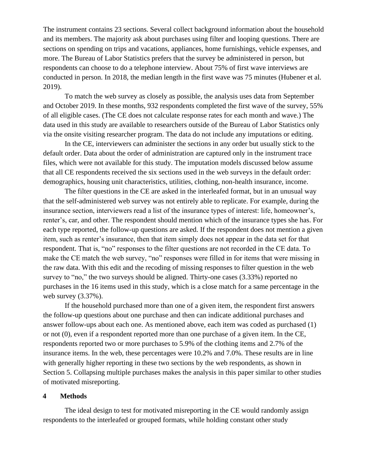The instrument contains 23 sections. Several collect background information about the household and its members. The majority ask about purchases using filter and looping questions. There are sections on spending on trips and vacations, appliances, home furnishings, vehicle expenses, and more. The Bureau of Labor Statistics prefers that the survey be administered in person, but respondents can choose to do a telephone interview. About 75% of first wave interviews are conducted in person. In 2018, the median length in the first wave was 75 minutes (Hubener et al. 2019).

To match the web survey as closely as possible, the analysis uses data from September and October 2019. In these months, 932 respondents completed the first wave of the survey, 55% of all eligible cases. (The CE does not calculate response rates for each month and wave.) The data used in this study are available to researchers outside of the Bureau of Labor Statistics only via the onsite visiting researcher program. The data do not include any imputations or editing.

In the CE, interviewers can administer the sections in any order but usually stick to the default order. Data about the order of administration are captured only in the instrument trace files, which were not available for this study. The imputation models discussed below assume that all CE respondents received the six sections used in the web surveys in the default order: demographics, housing unit characteristics, utilities, clothing, non-health insurance, income.

The filter questions in the CE are asked in the interleafed format, but in an unusual way that the self-administered web survey was not entirely able to replicate. For example, during the insurance section, interviewers read a list of the insurance types of interest: life, homeowner's, renter's, car, and other. The respondent should mention which of the insurance types she has. For each type reported, the follow-up questions are asked. If the respondent does not mention a given item, such as renter's insurance, then that item simply does not appear in the data set for that respondent. That is, "no" responses to the filter questions are not recorded in the CE data. To make the CE match the web survey, "no" responses were filled in for items that were missing in the raw data. With this edit and the recoding of missing responses to filter question in the web survey to "no," the two surveys should be aligned. Thirty-one cases  $(3.33%)$  reported no purchases in the 16 items used in this study, which is a close match for a same percentage in the web survey (3.37%).

If the household purchased more than one of a given item, the respondent first answers the follow-up questions about one purchase and then can indicate additional purchases and answer follow-ups about each one. As mentioned above, each item was coded as purchased (1) or not (0), even if a respondent reported more than one purchase of a given item. In the CE, respondents reported two or more purchases to 5.9% of the clothing items and 2.7% of the insurance items. In the web, these percentages were 10.2% and 7.0%. These results are in line with generally higher reporting in these two sections by the web respondents, as shown in Section 5. Collapsing multiple purchases makes the analysis in this paper similar to other studies of motivated misreporting.

### **4 Methods**

The ideal design to test for motivated misreporting in the CE would randomly assign respondents to the interleafed or grouped formats, while holding constant other study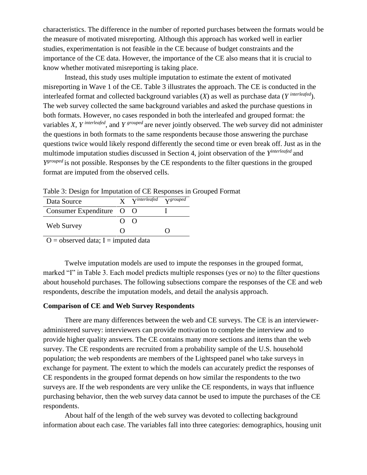characteristics. The difference in the number of reported purchases between the formats would be the measure of motivated misreporting. Although this approach has worked well in earlier studies, experimentation is not feasible in the CE because of budget constraints and the importance of the CE data. However, the importance of the CE also means that it is crucial to know whether motivated misreporting is taking place.

Instead, this study uses multiple imputation to estimate the extent of motivated misreporting in Wave 1 of the CE. Table 3 illustrates the approach. The CE is conducted in the interleafed format and collected background variables (*X*) as well as purchase data (*Y interleafed*). The web survey collected the same background variables and asked the purchase questions in both formats. However, no cases responded in both the interleafed and grouped format: the variables *X*, *Y interleafed*, and *Y grouped* are never jointly observed. The web survey did not administer the questions in both formats to the same respondents because those answering the purchase questions twice would likely respond differently the second time or even break off. Just as in the multimode imputation studies discussed in Section 4, joint observation of the *Y interleafed* and *Y*<sup>grouped</sup> is not possible. Responses by the CE respondents to the filter questions in the grouped format are imputed from the observed cells.

Table 3: Design for Imputation of CE Responses in Grouped Format

| Data Source              |  | <b>X</b> Vinterleafed Vgrouped |  |
|--------------------------|--|--------------------------------|--|
| Consumer Expenditure O O |  |                                |  |
|                          |  | $()$ $()$                      |  |
| Web Survey               |  |                                |  |
| 1 1 1 T                  |  | $\cdots$ $\cdots$ $\cdots$     |  |

 $O =$  observed data; I = imputed data

Twelve imputation models are used to impute the responses in the grouped format, marked "I" in Table 3. Each model predicts multiple responses (yes or no) to the filter questions about household purchases. The following subsections compare the responses of the CE and web respondents, describe the imputation models, and detail the analysis approach.

### **Comparison of CE and Web Survey Respondents**

There are many differences between the web and CE surveys. The CE is an intervieweradministered survey: interviewers can provide motivation to complete the interview and to provide higher quality answers. The CE contains many more sections and items than the web survey. The CE respondents are recruited from a probability sample of the U.S. household population; the web respondents are members of the Lightspeed panel who take surveys in exchange for payment. The extent to which the models can accurately predict the responses of CE respondents in the grouped format depends on how similar the respondents to the two surveys are. If the web respondents are very unlike the CE respondents, in ways that influence purchasing behavior, then the web survey data cannot be used to impute the purchases of the CE respondents.

About half of the length of the web survey was devoted to collecting background information about each case. The variables fall into three categories: demographics, housing unit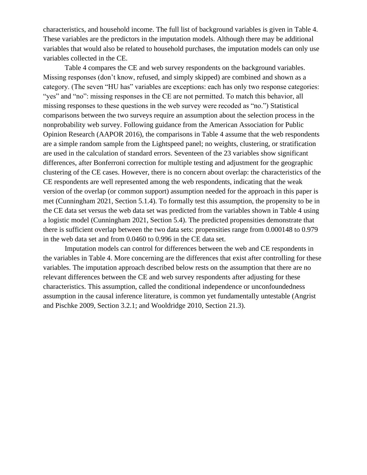characteristics, and household income. The full list of background variables is given in Table 4. These variables are the predictors in the imputation models. Although there may be additional variables that would also be related to household purchases, the imputation models can only use variables collected in the CE.

Table 4 compares the CE and web survey respondents on the background variables. Missing responses (don't know, refused, and simply skipped) are combined and shown as a category. (The seven "HU has" variables are exceptions: each has only two response categories: "yes" and "no": missing responses in the CE are not permitted. To match this behavior, all missing responses to these questions in the web survey were recoded as "no.") Statistical comparisons between the two surveys require an assumption about the selection process in the nonprobability web survey. Following guidance from the American Association for Public Opinion Research (AAPOR 2016), the comparisons in Table 4 assume that the web respondents are a simple random sample from the Lightspeed panel; no weights, clustering, or stratification are used in the calculation of standard errors. Seventeen of the 23 variables show significant differences, after Bonferroni correction for multiple testing and adjustment for the geographic clustering of the CE cases. However, there is no concern about overlap: the characteristics of the CE respondents are well represented among the web respondents, indicating that the weak version of the overlap (or common support) assumption needed for the approach in this paper is met (Cunningham 2021, Section 5.1.4). To formally test this assumption, the propensity to be in the CE data set versus the web data set was predicted from the variables shown in Table 4 using a logistic model (Cunningham 2021, Section 5.4). The predicted propensities demonstrate that there is sufficient overlap between the two data sets: propensities range from 0.000148 to 0.979 in the web data set and from 0.0460 to 0.996 in the CE data set.

Imputation models can control for differences between the web and CE respondents in the variables in Table 4. More concerning are the differences that exist after controlling for these variables. The imputation approach described below rests on the assumption that there are no relevant differences between the CE and web survey respondents after adjusting for these characteristics. This assumption, called the conditional independence or unconfoundedness assumption in the causal inference literature, is common yet fundamentally untestable (Angrist and Pischke 2009, Section 3.2.1; and Wooldridge 2010, Section 21.3).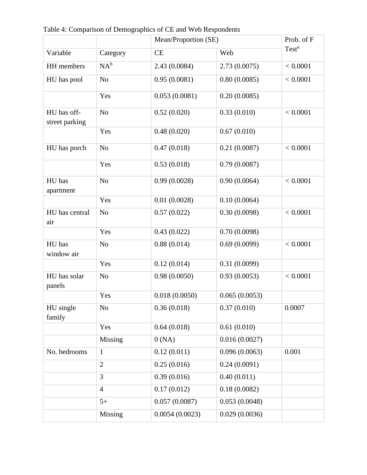|                               |                |                | Mean/Proportion (SE) |                   |  |  |  |
|-------------------------------|----------------|----------------|----------------------|-------------------|--|--|--|
| Variable                      | Category       | CE             | Web                  | Test <sup>a</sup> |  |  |  |
| HH members                    | $NA^b$         | 2.43 (0.0084)  | 2.73(0.0075)         | < 0.0001          |  |  |  |
| HU has pool                   | N <sub>o</sub> | 0.95(0.0081)   | 0.80(0.0085)         | < 0.0001          |  |  |  |
|                               | Yes            | 0.053(0.0081)  | 0.20(0.0085)         |                   |  |  |  |
| HU has off-<br>street parking | N <sub>o</sub> | 0.52(0.020)    | 0.33(0.010)          | < 0.0001          |  |  |  |
|                               | Yes            | 0.48(0.020)    | 0.67(0.010)          |                   |  |  |  |
| HU has porch                  | N <sub>o</sub> | 0.47(0.018)    | 0.21(0.0087)         | < 0.0001          |  |  |  |
|                               | Yes            | 0.53(0.018)    | 0.79(0.0087)         |                   |  |  |  |
| HU has<br>apartment           | N <sub>o</sub> | 0.99(0.0028)   | 0.90(0.0064)         | < 0.0001          |  |  |  |
|                               | Yes            | 0.01(0.0028)   | 0.10(0.0064)         |                   |  |  |  |
| HU has central<br>air         | N <sub>o</sub> | 0.57(0.022)    | 0.30(0.0098)         | < 0.0001          |  |  |  |
|                               | Yes            | 0.43(0.022)    | 0.70(0.0098)         |                   |  |  |  |
| HU has<br>window air          | N <sub>o</sub> | 0.88(0.014)    | 0.69(0.0099)         | < 0.0001          |  |  |  |
|                               | Yes            | 0.12(0.014)    | 0.31(0.0099)         |                   |  |  |  |
| HU has solar<br>panels        | N <sub>o</sub> | 0.98(0.0050)   | 0.93(0.0053)         | < 0.0001          |  |  |  |
|                               | Yes            | 0.018(0.0050)  | 0.065(0.0053)        |                   |  |  |  |
| HU single<br>family           | N <sub>o</sub> | 0.36(0.018)    | 0.37(0.010)          | 0.0007            |  |  |  |
|                               | Yes            | 0.64(0.018)    | 0.61(0.010)          |                   |  |  |  |
|                               | Missing        | 0(NA)          | 0.016(0.0027)        |                   |  |  |  |
| No. bedrooms                  | $\mathbf{1}$   | 0.12(0.011)    | 0.096(0.0063)        | 0.001             |  |  |  |
|                               | $\overline{2}$ | 0.25(0.016)    | 0.24(0.0091)         |                   |  |  |  |
|                               | 3              | 0.39(0.016)    | 0.40(0.011)          |                   |  |  |  |
|                               | $\overline{4}$ | 0.17(0.012)    | 0.18(0.0082)         |                   |  |  |  |
|                               | $5+$           | 0.057(0.0087)  | 0.053(0.0048)        |                   |  |  |  |
|                               | <b>Missing</b> | 0.0054(0.0023) | 0.029(0.0036)        |                   |  |  |  |

Table 4: Comparison of Demographics of CE and Web Respondents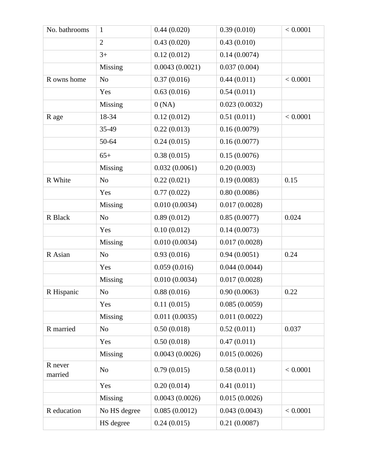| No. bathrooms      | $\mathbf{1}$   | 0.44(0.020)    | 0.39(0.010)   | < 0.0001 |
|--------------------|----------------|----------------|---------------|----------|
|                    | $\overline{2}$ | 0.43(0.020)    | 0.43(0.010)   |          |
|                    | $3+$           | 0.12(0.012)    | 0.14(0.0074)  |          |
|                    | Missing        | 0.0043(0.0021) | 0.037(0.004)  |          |
| R owns home        | N <sub>o</sub> | 0.37(0.016)    | 0.44(0.011)   | < 0.0001 |
|                    | Yes            | 0.63(0.016)    | 0.54(0.011)   |          |
|                    | Missing        | 0(NA)          | 0.023(0.0032) |          |
| R age              | 18-34          | 0.12(0.012)    | 0.51(0.011)   | < 0.0001 |
|                    | 35-49          | 0.22(0.013)    | 0.16(0.0079)  |          |
|                    | 50-64          | 0.24(0.015)    | 0.16(0.0077)  |          |
|                    | $65+$          | 0.38(0.015)    | 0.15(0.0076)  |          |
|                    | Missing        | 0.032(0.0061)  | 0.20(0.003)   |          |
| R White            | N <sub>o</sub> | 0.22(0.021)    | 0.19(0.0083)  | 0.15     |
|                    | Yes            | 0.77(0.022)    | 0.80(0.0086)  |          |
|                    | Missing        | 0.010(0.0034)  | 0.017(0.0028) |          |
| R Black            | N <sub>o</sub> | 0.89(0.012)    | 0.85(0.0077)  | 0.024    |
|                    | Yes            | 0.10(0.012)    | 0.14(0.0073)  |          |
|                    | Missing        | 0.010(0.0034)  | 0.017(0.0028) |          |
| R Asian            | N <sub>o</sub> | 0.93(0.016)    | 0.94(0.0051)  | 0.24     |
|                    | Yes            | 0.059(0.016)   | 0.044(0.0044) |          |
|                    | Missing        | 0.010(0.0034)  | 0.017(0.0028) |          |
| R Hispanic         | No             | 0.88(0.016)    | 0.90(0.0063)  | 0.22     |
|                    | Yes            | 0.11(0.015)    | 0.085(0.0059) |          |
|                    | Missing        | 0.011(0.0035)  | 0.011(0.0022) |          |
| R married          | N <sub>o</sub> | 0.50(0.018)    | 0.52(0.011)   | 0.037    |
|                    | Yes            | 0.50(0.018)    | 0.47(0.011)   |          |
|                    | Missing        | 0.0043(0.0026) | 0.015(0.0026) |          |
| R never<br>married | N <sub>o</sub> | 0.79(0.015)    | 0.58(0.011)   | < 0.0001 |
|                    | Yes            | 0.20(0.014)    | 0.41(0.011)   |          |
|                    | Missing        | 0.0043(0.0026) | 0.015(0.0026) |          |
| R education        | No HS degree   | 0.085(0.0012)  | 0.043(0.0043) | < 0.0001 |
|                    | HS degree      | 0.24(0.015)    | 0.21(0.0087)  |          |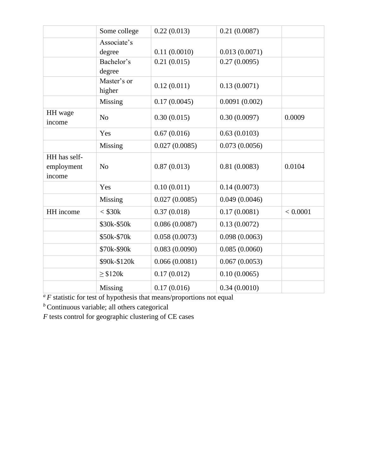|                                      | Some college          | 0.22(0.013)   | 0.21(0.0087)  |          |
|--------------------------------------|-----------------------|---------------|---------------|----------|
|                                      | Associate's           |               |               |          |
|                                      | degree                | 0.11(0.0010)  | 0.013(0.0071) |          |
|                                      | Bachelor's<br>degree  | 0.21(0.015)   | 0.27(0.0095)  |          |
|                                      | Master's or<br>higher | 0.12(0.011)   | 0.13(0.0071)  |          |
|                                      | Missing               | 0.17(0.0045)  | 0.0091(0.002) |          |
| HH wage<br>income                    | N <sub>o</sub>        | 0.30(0.015)   | 0.30(0.0097)  | 0.0009   |
|                                      | Yes                   | 0.67(0.016)   | 0.63(0.0103)  |          |
|                                      | Missing               | 0.027(0.0085) | 0.073(0.0056) |          |
| HH has self-<br>employment<br>income | N <sub>o</sub>        | 0.87(0.013)   | 0.81(0.0083)  | 0.0104   |
|                                      | Yes                   | 0.10(0.011)   | 0.14(0.0073)  |          |
|                                      | Missing               | 0.027(0.0085) | 0.049(0.0046) |          |
| HH income                            | $<$ \$30 $k$          | 0.37(0.018)   | 0.17(0.0081)  | < 0.0001 |
|                                      | \$30k-\$50k           | 0.086(0.0087) | 0.13(0.0072)  |          |
|                                      | \$50k-\$70k           | 0.058(0.0073) | 0.098(0.0063) |          |
|                                      | \$70k-\$90k           | 0.083(0.0090) | 0.085(0.0060) |          |
|                                      | \$90k-\$120k          | 0.066(0.0081) | 0.067(0.0053) |          |
|                                      | $\geq$ \$120k         | 0.17(0.012)   | 0.10(0.0065)  |          |
|                                      | Missing               | 0.17(0.016)   | 0.34(0.0010)  |          |

*<sup>a</sup> F* statistic for test of hypothesis that means/proportions not equal

*b* Continuous variable; all others categorical

*F* tests control for geographic clustering of CE cases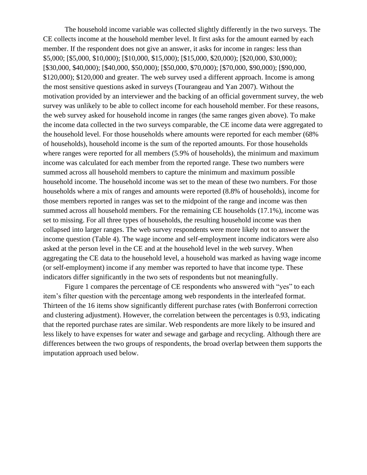The household income variable was collected slightly differently in the two surveys. The CE collects income at the household member level. It first asks for the amount earned by each member. If the respondent does not give an answer, it asks for income in ranges: less than \$5,000; [\$5,000, \$10,000); [\$10,000, \$15,000); [\$15,000, \$20,000); [\$20,000, \$30,000); [\$30,000, \$40,000); [\$40,000, \$50,000); [\$50,000, \$70,000); [\$70,000, \$90,000); [\$90,000, \$120,000); \$120,000 and greater. The web survey used a different approach. Income is among the most sensitive questions asked in surveys (Tourangeau and Yan 2007). Without the motivation provided by an interviewer and the backing of an official government survey, the web survey was unlikely to be able to collect income for each household member. For these reasons, the web survey asked for household income in ranges (the same ranges given above). To make the income data collected in the two surveys comparable, the CE income data were aggregated to the household level. For those households where amounts were reported for each member (68% of households), household income is the sum of the reported amounts. For those households where ranges were reported for all members (5.9% of households), the minimum and maximum income was calculated for each member from the reported range. These two numbers were summed across all household members to capture the minimum and maximum possible household income. The household income was set to the mean of these two numbers. For those households where a mix of ranges and amounts were reported (8.8% of households), income for those members reported in ranges was set to the midpoint of the range and income was then summed across all household members. For the remaining CE households (17.1%), income was set to missing. For all three types of households, the resulting household income was then collapsed into larger ranges. The web survey respondents were more likely not to answer the income question (Table 4). The wage income and self-employment income indicators were also asked at the person level in the CE and at the household level in the web survey. When aggregating the CE data to the household level, a household was marked as having wage income (or self-employment) income if any member was reported to have that income type. These indicators differ significantly in the two sets of respondents but not meaningfully.

Figure 1 compares the percentage of CE respondents who answered with "yes" to each item's filter question with the percentage among web respondents in the interleafed format. Thirteen of the 16 items show significantly different purchase rates (with Bonferroni correction and clustering adjustment). However, the correlation between the percentages is 0.93, indicating that the reported purchase rates are similar. Web respondents are more likely to be insured and less likely to have expenses for water and sewage and garbage and recycling. Although there are differences between the two groups of respondents, the broad overlap between them supports the imputation approach used below.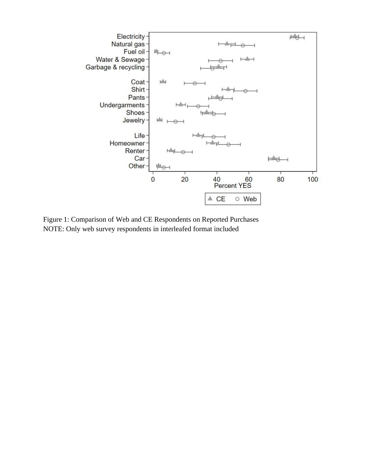

Figure 1: Comparison of Web and CE Respondents on Reported Purchases NOTE: Only web survey respondents in interleafed format included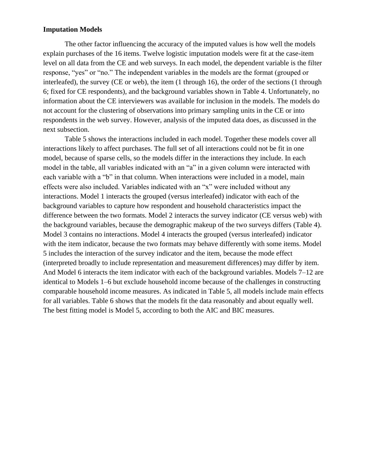# **Imputation Models**

The other factor influencing the accuracy of the imputed values is how well the models explain purchases of the 16 items. Twelve logistic imputation models were fit at the case-item level on all data from the CE and web surveys. In each model, the dependent variable is the filter response, "yes" or "no." The independent variables in the models are the format (grouped or interleafed), the survey (CE or web), the item (1 through 16), the order of the sections (1 through 6; fixed for CE respondents), and the background variables shown in Table 4. Unfortunately, no information about the CE interviewers was available for inclusion in the models. The models do not account for the clustering of observations into primary sampling units in the CE or into respondents in the web survey. However, analysis of the imputed data does, as discussed in the next subsection.

Table 5 shows the interactions included in each model. Together these models cover all interactions likely to affect purchases. The full set of all interactions could not be fit in one model, because of sparse cells, so the models differ in the interactions they include. In each model in the table, all variables indicated with an "a" in a given column were interacted with each variable with a "b" in that column. When interactions were included in a model, main effects were also included. Variables indicated with an "x" were included without any interactions. Model 1 interacts the grouped (versus interleafed) indicator with each of the background variables to capture how respondent and household characteristics impact the difference between the two formats. Model 2 interacts the survey indicator (CE versus web) with the background variables, because the demographic makeup of the two surveys differs (Table 4). Model 3 contains no interactions. Model 4 interacts the grouped (versus interleafed) indicator with the item indicator, because the two formats may behave differently with some items. Model 5 includes the interaction of the survey indicator and the item, because the mode effect (interpreted broadly to include representation and measurement differences) may differ by item. And Model 6 interacts the item indicator with each of the background variables. Models 7–12 are identical to Models 1–6 but exclude household income because of the challenges in constructing comparable household income measures. As indicated in Table 5, all models include main effects for all variables. Table 6 shows that the models fit the data reasonably and about equally well. The best fitting model is Model 5, according to both the AIC and BIC measures.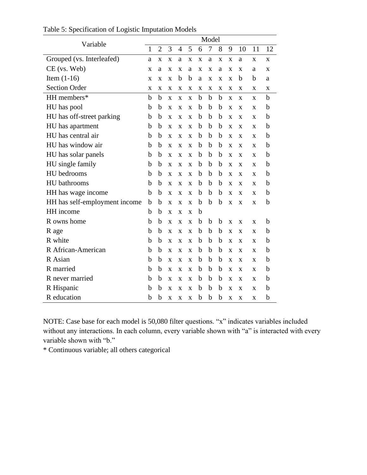| Variable<br>$\mathbf{1}$      |   | Model          |              |                |              |              |             |   |                         |              |              |             |
|-------------------------------|---|----------------|--------------|----------------|--------------|--------------|-------------|---|-------------------------|--------------|--------------|-------------|
|                               |   | $\overline{2}$ | 3            | $\overline{4}$ | 5            | 6            | 7           | 8 | 9                       | 10           | 11           | 12          |
| Grouped (vs. Interleafed)     | a | X              | X            | a              | X            | X            | a           | X | X                       | a            | X            | X           |
| CE (vs. Web)                  | X | a              | $\mathbf x$  | $\mathbf x$    | a            | $\mathbf{x}$ | $\mathbf x$ | a | X                       | $\mathbf{x}$ | a            | X           |
| Item $(1-16)$                 | X | X              | X            | b              | b            | a            | X           | X | X                       | b            | b            | a           |
| <b>Section Order</b>          | X | X              | X            | X              | X            | X            | X           | X | X                       | X            | X            | X           |
| HH members*                   | b | b              | $\mathbf{x}$ | X              | $\mathbf{x}$ | b            | b           | b | $\mathbf X$             | $\mathbf{x}$ | X            | $\mathbf b$ |
| HU has pool                   | b | b              | X            | X              | X            | b            | b           | b | X                       | X            | X            | $\mathbf b$ |
| HU has off-street parking     | b | b              | $\mathbf x$  | X              | X            | b            | b           | b | $\mathbf{x}$            | X            | X            | b           |
| HU has apartment              | b | b              | $\mathbf x$  | $\mathbf{x}$   | $\mathbf{x}$ | b            | b           | b | X                       | $\mathbf{x}$ | $\mathbf x$  | b           |
| HU has central air            | b | b              | X            | X              | X            | b            | b           | b | X                       | X            | X            | $\mathbf b$ |
| HU has window air             | b | b              | $\mathbf x$  | $\mathbf{x}$   | $\mathbf{X}$ | b            | b           | b | $\mathbf{x}$            | $\mathbf{x}$ | $\mathbf{x}$ | b           |
| HU has solar panels           | b | b              | $\mathbf x$  | $\mathbf{x}$   | $\mathbf{x}$ | b            | b           | b | X                       | $\mathbf{x}$ | $\mathbf x$  | b           |
| HU single family              | b | b              | X            | X              | X            | b            | b           | b | X                       | X            | X            | $\mathbf b$ |
| HU bedrooms                   | b | b              | $\mathbf x$  | $\mathbf{x}$   | $\mathbf{X}$ | b            | b           | b | X                       | $\mathbf{x}$ | X            | b           |
| <b>HU</b> bathrooms           | b | b              | $\mathbf x$  | X              | $\mathbf{x}$ | b            | b           | b | X                       | $\mathbf{x}$ | $\mathbf x$  | b           |
| HH has wage income            | b | b              | X            | X              | X            | b            | b           | b | X                       | X            | X            | $\mathbf b$ |
| HH has self-employment income | b | b              | $\mathbf x$  | X              | $\mathbf{X}$ | b            | b           | b | $\overline{\mathbf{X}}$ | X            | X            | $\mathbf b$ |
| HH income                     | b | b              | $\mathbf x$  | $\mathbf{x}$   | $\mathbf x$  | b            |             |   |                         |              |              |             |
| R owns home                   | b | b              | X            | X              | X            | b            | b           | b | X                       | X            | X            | b           |
| R age                         | b | b              | X            | $\mathbf{x}$   | $\mathbf{X}$ | b            | b           | b | X                       | X            | X            | b           |
| R white                       | b | b              | $\mathbf x$  | X              | $\mathbf{X}$ | b            | b           | b | X                       | $\mathbf{x}$ | $\mathbf x$  | b           |
| R African-American            | b | b              | X            | X              | X            | b            | b           | b | X                       | X            | X            | b           |
| R Asian                       | b | b              | X            | X              | $\mathbf{X}$ | b            | b           | b | X                       | X            | X            | b           |
| R married                     | b | b              | $\mathbf x$  | X              | $\mathbf x$  | b            | b           | b | X                       | $\mathbf{x}$ | X            | b           |
| R never married               | b | b              | $\mathbf x$  | $\mathbf x$    | $\mathbf x$  | b            | b           | b | X                       | $\mathbf{x}$ | $\mathbf x$  | b           |
| R Hispanic                    | b | b              | X            | $\mathbf{x}$   | X            | b            | b           | b | X                       | X            | X            | $\mathbf b$ |
| R education                   | b | b              | X            | X              | X            | b            | b           | b | X                       | X            | X            | b           |

Table 5: Specification of Logistic Imputation Models

NOTE: Case base for each model is 50,080 filter questions. "x" indicates variables included without any interactions. In each column, every variable shown with "a" is interacted with every variable shown with "b."

\* Continuous variable; all others categorical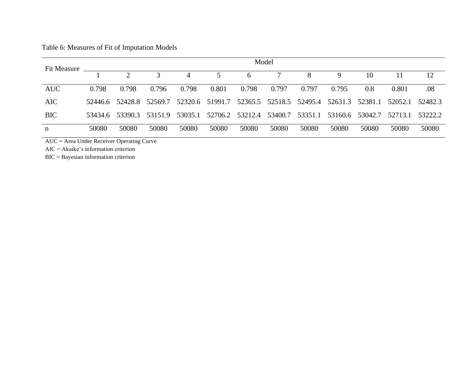Table 6: Measures of Fit of Imputation Models

| Fit Measure |         | Model    |              |         |                 |         |         |                         |         |                 |         |         |
|-------------|---------|----------|--------------|---------|-----------------|---------|---------|-------------------------|---------|-----------------|---------|---------|
|             |         | $\gamma$ | $\mathbf{c}$ |         | 5.              | 6       |         | 8                       |         | 10              |         | 12      |
| <b>AUC</b>  | 0.798   | 0.798    | 0.796        | 0.798   | 0.801           | 0.798   | 0.797   | 0.797                   | 0.795   | 0.8             | 0.801   | .08     |
| <b>AIC</b>  | 52446.6 | 52428.8  | 52569.7      |         | 52320.6 51991.7 |         |         | 52365.5 52518.5 52495.4 | 52631.3 | 52381.1         | 52052.1 | 52482.3 |
| <b>BIC</b>  | 53434.6 | 53390.3  | 53151.9      | 53035.1 | 52706.2         | 53212.4 | 53400.7 | 53351.1                 |         | 53160.6 53042.7 | 52713.1 | 53222.2 |
| n           | 50080   | 50080    | 50080        | 50080   | 50080           | 50080   | 50080   | 50080                   | 50080   | 50080           | 50080   | 50080   |

AUC = Area Under Receiver Operating Curve

AIC = Akaike's information criterion

BIC = Bayesian information criterion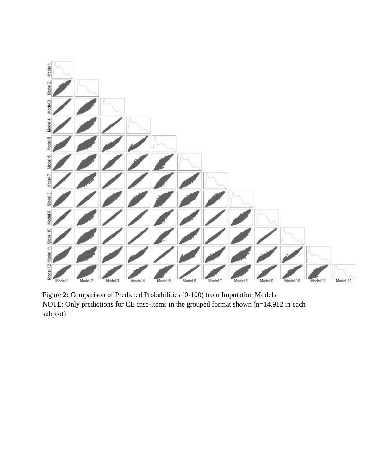

Figure 2: Comparison of Predicted Probabilities (0-100) from Imputation Models NOTE: Only predictions for CE case-items in the grouped format shown (n=14,912 in each subplot)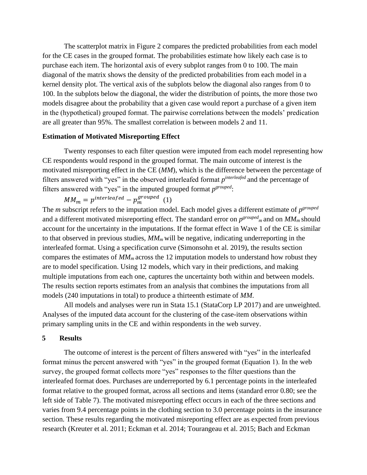The scatterplot matrix in Figure 2 compares the predicted probabilities from each model for the CE cases in the grouped format. The probabilities estimate how likely each case is to purchase each item. The horizontal axis of every subplot ranges from 0 to 100. The main diagonal of the matrix shows the density of the predicted probabilities from each model in a kernel density plot. The vertical axis of the subplots below the diagonal also ranges from 0 to 100. In the subplots below the diagonal, the wider the distribution of points, the more those two models disagree about the probability that a given case would report a purchase of a given item in the (hypothetical) grouped format. The pairwise correlations between the models' predication are all greater than 95%. The smallest correlation is between models 2 and 11.

### **Estimation of Motivated Misreporting Effect**

Twenty responses to each filter question were imputed from each model representing how CE respondents would respond in the grouped format. The main outcome of interest is the motivated misreporting effect in the CE (*MM*), which is the difference between the percentage of filters answered with "yes" in the observed interleafed format  $p^{interleafed}$  and the percentage of filters answered with "yes" in the imputed grouped format  $p^{grouped}$ .

 $MM_m = p^{interleafed} - p_m^{grouped}$  (1)

The *m* subscript refers to the imputation model. Each model gives a different estimate of  $p^{grouped}$ and a different motivated misreporting effect. The standard error on  $p^{grouped}$  and on  $MM_m$  should account for the uncertainty in the imputations. If the format effect in Wave 1 of the CE is similar to that observed in previous studies, *MMm* will be negative, indicating underreporting in the interleafed format. Using a specification curve (Simonsohn et al. 2019), the results section compares the estimates of *MMm* across the 12 imputation models to understand how robust they are to model specification. Using 12 models, which vary in their predictions, and making multiple imputations from each one, captures the uncertainty both within and between models. The results section reports estimates from an analysis that combines the imputations from all models (240 imputations in total) to produce a thirteenth estimate of *MM*.

All models and analyses were run in Stata 15.1 (StataCorp LP 2017) and are unweighted. Analyses of the imputed data account for the clustering of the case-item observations within primary sampling units in the CE and within respondents in the web survey.

### **5 Results**

The outcome of interest is the percent of filters answered with "yes" in the interleafed format minus the percent answered with "yes" in the grouped format (Equation 1). In the web survey, the grouped format collects more "yes" responses to the filter questions than the interleafed format does. Purchases are underreported by 6.1 percentage points in the interleafed format relative to the grouped format, across all sections and items (standard error 0*.*80; see the left side of Table 7). The motivated misreporting effect occurs in each of the three sections and varies from 9.4 percentage points in the clothing section to 3.0 percentage points in the insurance section. These results regarding the motivated misreporting effect are as expected from previous research (Kreuter et al. 2011; Eckman et al. 2014; Tourangeau et al. 2015; Bach and Eckman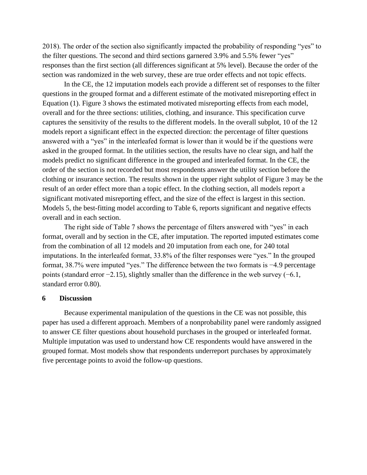2018). The order of the section also significantly impacted the probability of responding "yes" to the filter questions. The second and third sections garnered 3.9% and 5.5% fewer "yes" responses than the first section (all differences significant at 5% level). Because the order of the section was randomized in the web survey, these are true order effects and not topic effects.

In the CE, the 12 imputation models each provide a different set of responses to the filter questions in the grouped format and a different estimate of the motivated misreporting effect in Equation (1). Figure 3 shows the estimated motivated misreporting effects from each model, overall and for the three sections: utilities, clothing, and insurance. This specification curve captures the sensitivity of the results to the different models. In the overall subplot, 10 of the 12 models report a significant effect in the expected direction: the percentage of filter questions answered with a "yes" in the interleafed format is lower than it would be if the questions were asked in the grouped format. In the utilities section, the results have no clear sign, and half the models predict no significant difference in the grouped and interleafed format. In the CE, the order of the section is not recorded but most respondents answer the utility section before the clothing or insurance section. The results shown in the upper right subplot of Figure 3 may be the result of an order effect more than a topic effect. In the clothing section, all models report a significant motivated misreporting effect, and the size of the effect is largest in this section. Models 5, the best-fitting model according to Table 6, reports significant and negative effects overall and in each section.

The right side of Table 7 shows the percentage of filters answered with "yes" in each format, overall and by section in the CE, after imputation. The reported imputed estimates come from the combination of all 12 models and 20 imputation from each one, for 240 total imputations. In the interleafed format, 33.8% of the filter responses were "yes." In the grouped format, 38.7% were imputed "yes." The difference between the two formats is −4*.*9 percentage points (standard error −2*.*15), slightly smaller than the difference in the web survey (−6*.*1, standard error 0*.*80).

# **6 Discussion**

Because experimental manipulation of the questions in the CE was not possible, this paper has used a different approach. Members of a nonprobability panel were randomly assigned to answer CE filter questions about household purchases in the grouped or interleafed format. Multiple imputation was used to understand how CE respondents would have answered in the grouped format. Most models show that respondents underreport purchases by approximately five percentage points to avoid the follow-up questions.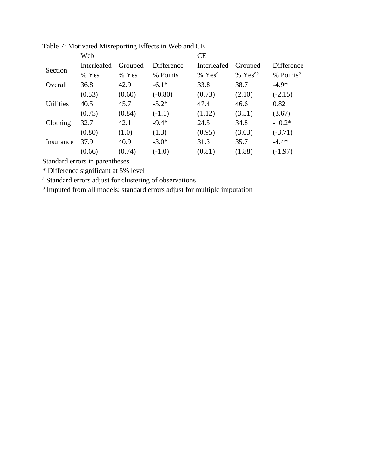|                  | Web         |         |            | <b>CE</b>          |                     |                       |  |  |
|------------------|-------------|---------|------------|--------------------|---------------------|-----------------------|--|--|
| Section          | Interleafed | Grouped | Difference | Interleafed        | Grouped             | Difference            |  |  |
|                  | % Yes       | % Yes   | % Points   | % Yes <sup>a</sup> | % Yes <sup>ab</sup> | % Points <sup>a</sup> |  |  |
| Overall          | 36.8        | 42.9    | $-6.1*$    | 33.8               | 38.7                | $-4.9*$               |  |  |
|                  | (0.53)      | (0.60)  | $(-0.80)$  | (0.73)             | (2.10)              | $(-2.15)$             |  |  |
| <b>Utilities</b> | 40.5        | 45.7    | $-5.2*$    | 47.4               | 46.6                | 0.82                  |  |  |
|                  | (0.75)      | (0.84)  | $(-1.1)$   | (1.12)             | (3.51)              | (3.67)                |  |  |
| Clothing         | 32.7        | 42.1    | $-9.4*$    | 24.5               | 34.8                | $-10.2*$              |  |  |
|                  | (0.80)      | (1.0)   | (1.3)      | (0.95)             | (3.63)              | $(-3.71)$             |  |  |
| Insurance        | 37.9        | 40.9    | $-3.0*$    | 31.3               | 35.7                | $-4.4*$               |  |  |
|                  | (0.66)      | (0.74)  | $(-1.0)$   | (0.81)             | (1.88)              | $(-1.97)$             |  |  |

Table 7: Motivated Misreporting Effects in Web and CE

Standard errors in parentheses

\* Difference significant at 5% level

<sup>a</sup> Standard errors adjust for clustering of observations

<sup>b</sup> Imputed from all models; standard errors adjust for multiple imputation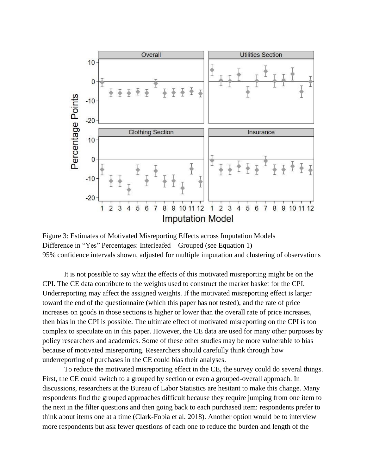

Figure 3: Estimates of Motivated Misreporting Effects across Imputation Models Difference in "Yes" Percentages: Interleafed – Grouped (see Equation 1) 95% confidence intervals shown, adjusted for multiple imputation and clustering of observations

It is not possible to say what the effects of this motivated misreporting might be on the CPI. The CE data contribute to the weights used to construct the market basket for the CPI. Underreporting may affect the assigned weights. If the motivated misreporting effect is larger toward the end of the questionnaire (which this paper has not tested), and the rate of price increases on goods in those sections is higher or lower than the overall rate of price increases, then bias in the CPI is possible. The ultimate effect of motivated misreporting on the CPI is too complex to speculate on in this paper. However, the CE data are used for many other purposes by policy researchers and academics. Some of these other studies may be more vulnerable to bias because of motivated misreporting. Researchers should carefully think through how underreporting of purchases in the CE could bias their analyses.

To reduce the motivated misreporting effect in the CE, the survey could do several things. First, the CE could switch to a grouped by section or even a grouped-overall approach. In discussions, researchers at the Bureau of Labor Statistics are hesitant to make this change. Many respondents find the grouped approaches difficult because they require jumping from one item to the next in the filter questions and then going back to each purchased item: respondents prefer to think about items one at a time (Clark-Fobia et al. 2018). Another option would be to interview more respondents but ask fewer questions of each one to reduce the burden and length of the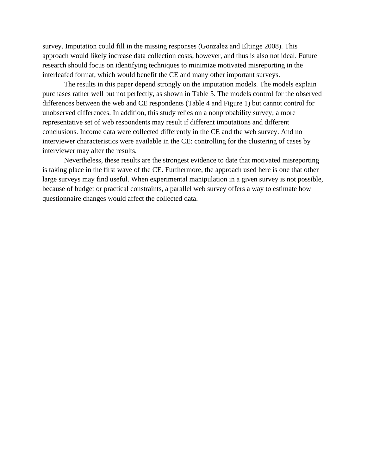survey. Imputation could fill in the missing responses (Gonzalez and Eltinge 2008). This approach would likely increase data collection costs, however, and thus is also not ideal. Future research should focus on identifying techniques to minimize motivated misreporting in the interleafed format, which would benefit the CE and many other important surveys.

The results in this paper depend strongly on the imputation models. The models explain purchases rather well but not perfectly, as shown in Table 5. The models control for the observed differences between the web and CE respondents (Table 4 and Figure 1) but cannot control for unobserved differences. In addition, this study relies on a nonprobability survey; a more representative set of web respondents may result if different imputations and different conclusions. Income data were collected differently in the CE and the web survey. And no interviewer characteristics were available in the CE: controlling for the clustering of cases by interviewer may alter the results.

Nevertheless, these results are the strongest evidence to date that motivated misreporting is taking place in the first wave of the CE. Furthermore, the approach used here is one that other large surveys may find useful. When experimental manipulation in a given survey is not possible, because of budget or practical constraints, a parallel web survey offers a way to estimate how questionnaire changes would affect the collected data.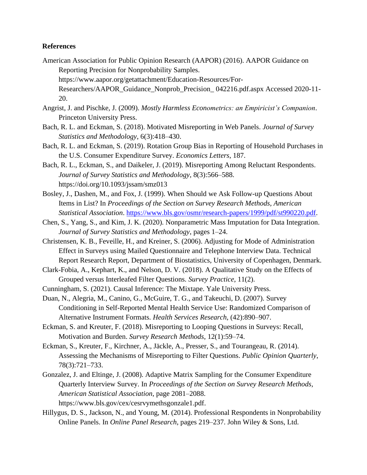### **References**

- American Association for Public Opinion Research (AAPOR) (2016). AAPOR Guidance on Reporting Precision for Nonprobability Samples. [https://www.aapor.org/getattachment/Education-Resources/For-](https://www.aapor.org/getattachment/Education-Resources/For-Researchers/AAPOR_Guidance_Nonprob_Precision_042216.pdf.aspx)[Researchers/AAPOR\\_Guidance\\_Nonprob\\_Precision\\_ 042216.pdf.aspx](https://www.aapor.org/getattachment/Education-Resources/For-Researchers/AAPOR_Guidance_Nonprob_Precision_042216.pdf.aspx) Accessed 2020-11- 20.
- Angrist, J. and Pischke, J. (2009). *Mostly Harmless Econometrics: an Empiricist's Companion*. Princeton University Press.
- Bach, R. L. and Eckman, S. (2018). Motivated Misreporting in Web Panels. *Journal of Survey Statistics and Methodology*, 6(3):418–430.
- Bach, R. L. and Eckman, S. (2019). Rotation Group Bias in Reporting of Household Purchases in the U.S. Consumer Expenditure Survey. *Economics Letters*, 187.
- Bach, R. L., Eckman, S., and Daikeler, J. (2019). Misreporting Among Reluctant Respondents. *Journal of Survey Statistics and Methodology*, 8(3):566–588. https://doi.org/10.1093/jssam/smz013
- Bosley, J., Dashen, M., and Fox, J. (1999). When Should we Ask Follow-up Questions About Items in List? In *Proceedings of the Section on Survey Research Methods, American Statistical Association*[. https://www.bls.gov/osmr/research-papers/1999/pdf/st990220.pdf.](https://www.bls.gov/osmr/research-papers/1999/pdf/st990220.pdf)
- Chen, S., Yang, S., and Kim, J. K. (2020). Nonparametric Mass Imputation for Data Integration. *Journal of Survey Statistics and Methodology*, pages 1–24.
- Christensen, K. B., Feveille, H., and Kreiner, S. (2006). Adjusting for Mode of Administration Effect in Surveys using Mailed Questionnaire and Telephone Interview Data. Technical Report Research Report, Department of Biostatistics, University of Copenhagen, Denmark.
- Clark-Fobia, A., Kephart, K., and Nelson, D. V. (2018). A Qualitative Study on the Effects of Grouped versus Interleafed Filter Questions. *Survey Practice*, 11(2).
- Cunningham, S. (2021). Causal Inference: The Mixtape. Yale University Press.
- Duan, N., Alegria, M., Canino, G., McGuire, T. G., and Takeuchi, D. (2007). Survey Conditioning in Self-Reported Mental Health Service Use: Randomized Comparison of Alternative Instrument Formats. *Health Services Research*, (42):890–907.
- Eckman, S. and Kreuter, F. (2018). Misreporting to Looping Questions in Surveys: Recall, Motivation and Burden. *Survey Research Methods*, 12(1):59–74.
- Eckman, S., Kreuter, F., Kirchner, A., Jäckle, A., Presser, S., and Tourangeau, R. (2014). Assessing the Mechanisms of Misreporting to Filter Questions. *Public Opinion Quarterly*, 78(3):721–733.
- Gonzalez, J. and Eltinge, J. (2008). Adaptive Matrix Sampling for the Consumer Expenditure Quarterly Interview Survey. In *Proceedings of the Section on Survey Research Methods, American Statistical Association*, page 2081–2088. https://www.bls.gov/cex/cesrvymethsgonzale1.pdf.
- Hillygus, D. S., Jackson, N., and Young, M. (2014). Professional Respondents in Nonprobability Online Panels. In *Online Panel Research*, pages 219–237. John Wiley & Sons, Ltd.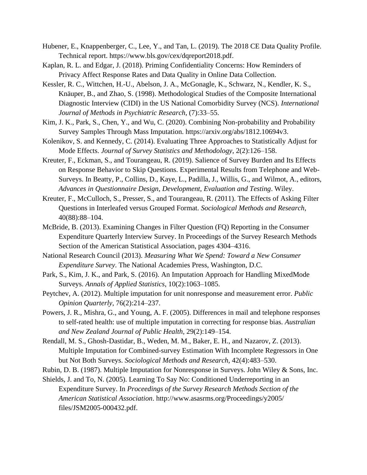- Hubener, E., Knappenberger, C., Lee, Y., and Tan, L. (2019). The 2018 CE Data Quality Profile. Technical report. [https://www.bls.gov/cex/dqreport2018.pdf.](https://www.bls.gov/cex/dqreport2018.pdf)
- Kaplan, R. L. and Edgar, J. (2018). Priming Confidentiality Concerns: How Reminders of Privacy Affect Response Rates and Data Quality in Online Data Collection.
- Kessler, R. C., Wittchen, H.-U., Abelson, J. A., McGonagle, K., Schwarz, N., Kendler, K. S., Knäuper, B., and Zhao, S. (1998). Methodological Studies of the Composite International Diagnostic Interview (CIDI) in the US National Comorbidity Survey (NCS). *International Journal of Methods in Psychiatric Research*, (7):33–55.
- Kim, J. K., Park, S., Chen, Y., and Wu, C. (2020). Combining Non-probability and Probability Survey Samples Through Mass Imputation. [https://arxiv.org/abs/1812.10694v3.](https://arxiv.org/abs/1812.10694v3)
- Kolenikov, S. and Kennedy, C. (2014). Evaluating Three Approaches to Statistically Adjust for Mode Effects. *Journal of Survey Statistics and Methodology*, 2(2):126–158.
- Kreuter, F., Eckman, S., and Tourangeau, R. (2019). Salience of Survey Burden and Its Effects on Response Behavior to Skip Questions. Experimental Results from Telephone and Web-Surveys. In Beatty, P., Collins, D., Kaye, L., Padilla, J., Willis, G., and Wilmot, A., editors, *Advances in Questionnaire Design, Development, Evaluation and Testing*. Wiley.
- Kreuter, F., McCulloch, S., Presser, S., and Tourangeau, R. (2011). The Effects of Asking Filter Questions in Interleafed versus Grouped Format. *Sociological Methods and Research*, 40(88):88–104.
- McBride, B. (2013). Examining Changes in Filter Question (FQ) Reporting in the Consumer Expenditure Quarterly Interview Survey. In Proceedings of the Survey Research Methods Section of the American Statistical Association, pages 4304–4316.
- National Research Council (2013). *Measuring What We Spend: Toward a New Consumer Expenditure Survey*. The National Academies Press, Washington, D.C.
- Park, S., Kim, J. K., and Park, S. (2016). An Imputation Approach for Handling MixedMode Surveys. *Annals of Applied Statistics*, 10(2):1063–1085.
- Peytchev, A. (2012). Multiple imputation for unit nonresponse and measurement error. *Public Opinion Quarterly*, 76(2):214–237.
- Powers, J. R., Mishra, G., and Young, A. F. (2005). Differences in mail and telephone responses to self-rated health: use of multiple imputation in correcting for response bias. *Australian and New Zealand Journal of Public Health*, 29(2):149–154.
- Rendall, M. S., Ghosh-Dastidar, B., Weden, M. M., Baker, E. H., and Nazarov, Z. (2013). Multiple Imputation for Combined-survey Estimation With Incomplete Regressors in One but Not Both Surveys. *Sociological Methods and Research*, 42(4):483–530.

Rubin, D. B. (1987). Multiple Imputation for Nonresponse in Surveys. John Wiley & Sons, Inc.

Shields, J. and To, N. (2005). Learning To Say No: Conditioned Underreporting in an Expenditure Survey. In *Proceedings of the Survey Research Methods Section of the American Statistical Association*. [http://www.asasrms.org/Proceedings/y2005/](http://www.asasrms.org/Proceedings/y2005/files/JSM2005-000432.pdf)  [files/JSM2005-000432.pdf.](http://www.asasrms.org/Proceedings/y2005/files/JSM2005-000432.pdf)